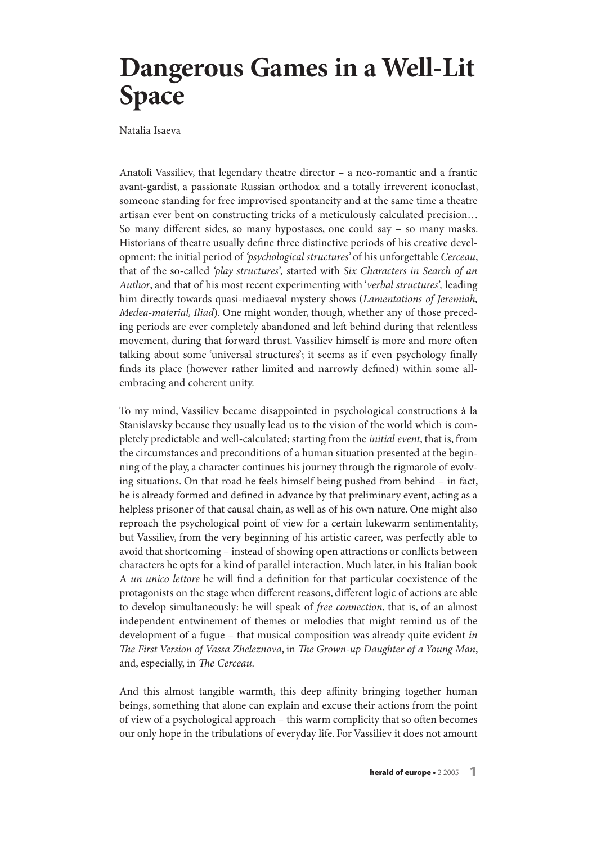## **Dangerous Games in a Well-Lit Space**

Natalia Isaeva

Anatoli Vassiliev, that legendary theatre director – a neo-romantic and a frantic avant-gardist, a passionate Russian orthodox and a totally irreverent iconoclast, someone standing for free improvised spontaneity and at the same time a theatre artisan ever bent on constructing tricks of a meticulously calculated precision… So many different sides, so many hypostases, one could say – so many masks. Historians of theatre usually define three distinctive periods of his creative development: the initial period of 'psychological structures' of his unforgettable Cerceau, that of the so-called 'play structures', started with Six Characters in Search of an Author, and that of his most recent experimenting with 'verbal structures', leading him directly towards quasi-mediaeval mystery shows (Lamentations of Jeremiah, Medea-material, Iliad). One might wonder, though, whether any of those preceding periods are ever completely abandoned and left behind during that relentless movement, during that forward thrust. Vassiliev himself is more and more often talking about some 'universal structures'; it seems as if even psychology finally finds its place (however rather limited and narrowly defined) within some allembracing and coherent unity.

To my mind, Vassiliev became disappointed in psychological constructions à la Stanislavsky because they usually lead us to the vision of the world which is completely predictable and well-calculated; starting from the initial event, that is, from the circumstances and preconditions of a human situation presented at the beginning of the play, a character continues his journey through the rigmarole of evolving situations. On that road he feels himself being pushed from behind – in fact, he is already formed and defined in advance by that preliminary event, acting as a helpless prisoner of that causal chain, as well as of his own nature. One might also reproach the psychological point of view for a certain lukewarm sentimentality, but Vassiliev, from the very beginning of his artistic career, was perfectly able to avoid that shortcoming – instead of showing open attractions or conflicts between characters he opts for a kind of parallel interaction. Much later, in his Italian book A un unico lettore he will find a definition for that particular coexistence of the protagonists on the stage when different reasons, different logic of actions are able to develop simultaneously: he will speak of free connection, that is, of an almost independent entwinement of themes or melodies that might remind us of the development of a fugue – that musical composition was already quite evident in The First Version of Vassa Zheleznova, in The Grown-up Daughter of a Young Man, and, especially, in The Cerceau.

And this almost tangible warmth, this deep affinity bringing together human beings, something that alone can explain and excuse their actions from the point of view of a psychological approach – this warm complicity that so often becomes our only hope in the tribulations of everyday life. For Vassiliev it does not amount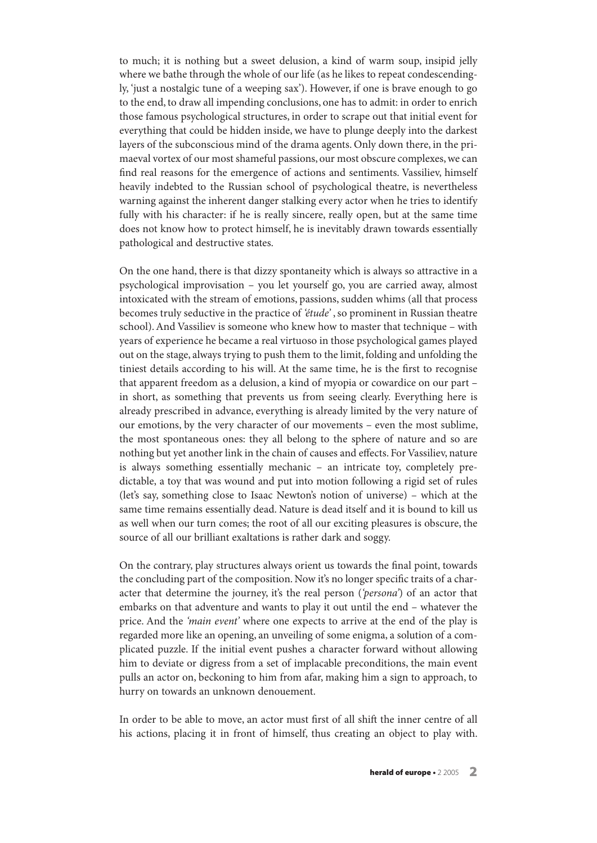to much; it is nothing but a sweet delusion, a kind of warm soup, insipid jelly where we bathe through the whole of our life (as he likes to repeat condescendingly, 'just a nostalgic tune of a weeping sax'). However, if one is brave enough to go to the end, to draw all impending conclusions, one has to admit: in order to enrich those famous psychological structures, in order to scrape out that initial event for everything that could be hidden inside, we have to plunge deeply into the darkest layers of the subconscious mind of the drama agents. Only down there, in the primaeval vortex of our most shameful passions, our most obscure complexes,we can find real reasons for the emergence of actions and sentiments. Vassiliev, himself heavily indebted to the Russian school of psychological theatre, is nevertheless warning against the inherent danger stalking every actor when he tries to identify fully with his character: if he is really sincere, really open, but at the same time does not know how to protect himself, he is inevitably drawn towards essentially pathological and destructive states.

On the one hand, there is that dizzy spontaneity which is always so attractive in a psychological improvisation – you let yourself go, you are carried away, almost intoxicated with the stream of emotions, passions, sudden whims (all that process becomes truly seductive in the practice of 'étude', so prominent in Russian theatre school).And Vassiliev is someone who knew how to master that technique – with years of experience he became a real virtuoso in those psychological games played out on the stage, always trying to push them to the limit, folding and unfolding the tiniest details according to his will. At the same time, he is the first to recognise that apparent freedom as a delusion, a kind of myopia or cowardice on our part – in short, as something that prevents us from seeing clearly. Everything here is already prescribed in advance, everything is already limited by the very nature of our emotions, by the very character of our movements – even the most sublime, the most spontaneous ones: they all belong to the sphere of nature and so are nothing but yet another link in the chain of causes and effects. For Vassiliev, nature is always something essentially mechanic – an intricate toy, completely predictable, a toy that was wound and put into motion following a rigid set of rules (let's say, something close to Isaac Newton's notion of universe) – which at the same time remains essentially dead. Nature is dead itself and it is bound to kill us as well when our turn comes; the root of all our exciting pleasures is obscure, the source of all our brilliant exaltations is rather dark and soggy.

On the contrary, play structures always orient us towards the final point, towards the concluding part of the composition. Now it's no longer specific traits of a character that determine the journey, it's the real person ('persona') of an actor that embarks on that adventure and wants to play it out until the end – whatever the price. And the 'main event' where one expects to arrive at the end of the play is regarded more like an opening, an unveiling of some enigma, a solution of a complicated puzzle. If the initial event pushes a character forward without allowing him to deviate or digress from a set of implacable preconditions, the main event pulls an actor on, beckoning to him from afar, making him a sign to approach, to hurry on towards an unknown denouement.

In order to be able to move, an actor must first of all shift the inner centre of all his actions, placing it in front of himself, thus creating an object to play with.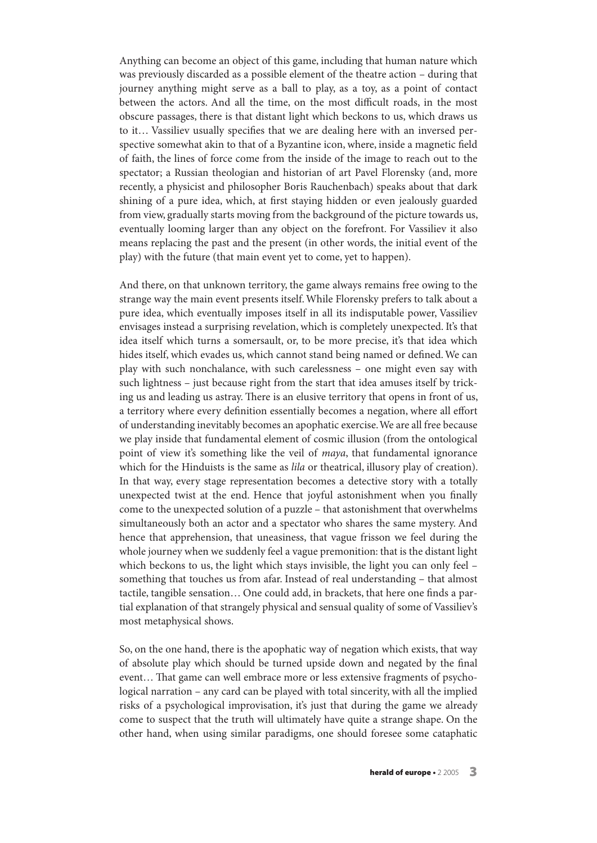Anything can become an object of this game, including that human nature which was previously discarded as a possible element of the theatre action – during that journey anything might serve as a ball to play, as a toy, as a point of contact between the actors. And all the time, on the most difficult roads, in the most obscure passages, there is that distant light which beckons to us, which draws us to it… Vassiliev usually specifies that we are dealing here with an inversed perspective somewhat akin to that of a Byzantine icon, where, inside a magnetic field of faith, the lines of force come from the inside of the image to reach out to the spectator; a Russian theologian and historian of art Pavel Florensky (and, more recently, a physicist and philosopher Boris Rauchenbach) speaks about that dark shining of a pure idea, which, at first staying hidden or even jealously guarded from view, gradually starts moving from the background of the picture towards us, eventually looming larger than any object on the forefront. For Vassiliev it also means replacing the past and the present (in other words, the initial event of the play) with the future (that main event yet to come, yet to happen).

And there, on that unknown territory, the game always remains free owing to the strange way the main event presents itself.While Florensky prefers to talk about a pure idea, which eventually imposes itself in all its indisputable power, Vassiliev envisages instead a surprising revelation, which is completely unexpected. It's that idea itself which turns a somersault, or, to be more precise, it's that idea which hides itself, which evades us, which cannot stand being named or defined.We can play with such nonchalance, with such carelessness – one might even say with such lightness – just because right from the start that idea amuses itself by tricking us and leading us astray. There is an elusive territory that opens in front of us, a territory where every definition essentially becomes a negation, where all effort of understanding inevitably becomes an apophatic exercise.We are all free because we play inside that fundamental element of cosmic illusion (from the ontological point of view it's something like the veil of *maya*, that fundamental ignorance which for the Hinduists is the same as *lila* or theatrical, illusory play of creation). In that way, every stage representation becomes a detective story with a totally unexpected twist at the end. Hence that joyful astonishment when you finally come to the unexpected solution of a puzzle – that astonishment that overwhelms simultaneously both an actor and a spectator who shares the same mystery. And hence that apprehension, that uneasiness, that vague frisson we feel during the whole journey when we suddenly feel a vague premonition: that is the distant light which beckons to us, the light which stays invisible, the light you can only feel – something that touches us from afar. Instead of real understanding – that almost tactile, tangible sensation… One could add, in brackets, that here one finds a partial explanation of that strangely physical and sensual quality of some of Vassiliev's most metaphysical shows.

So, on the one hand, there is the apophatic way of negation which exists, that way of absolute play which should be turned upside down and negated by the final event... That game can well embrace more or less extensive fragments of psychological narration – any card can be played with total sincerity, with all the implied risks of a psychological improvisation, it's just that during the game we already come to suspect that the truth will ultimately have quite a strange shape. On the other hand, when using similar paradigms, one should foresee some cataphatic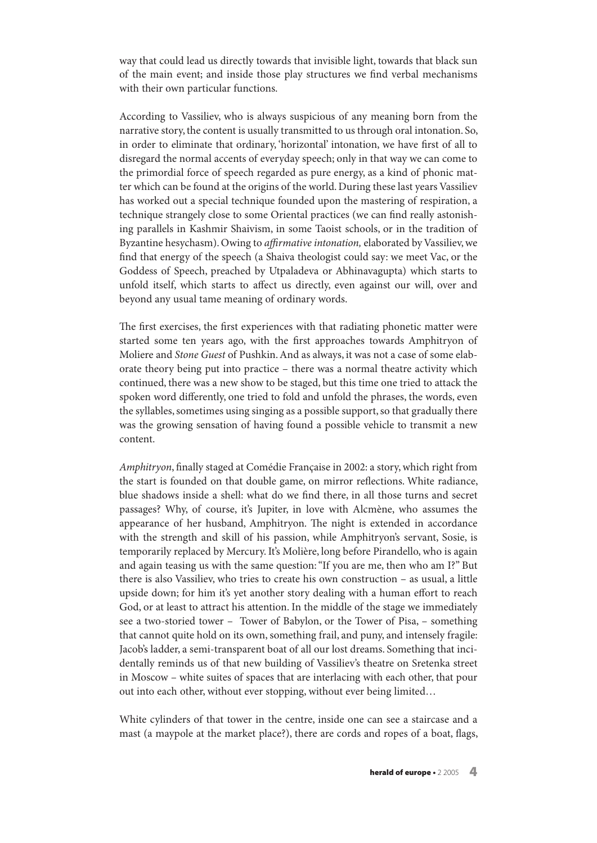way that could lead us directly towards that invisible light, towards that black sun of the main event; and inside those play structures we find verbal mechanisms with their own particular functions.

According to Vassiliev, who is always suspicious of any meaning born from the narrative story, the content is usually transmitted to us through oral intonation. So, in order to eliminate that ordinary, 'horizontal' intonation, we have first of all to disregard the normal accents of everyday speech; only in that way we can come to the primordial force of speech regarded as pure energy, as a kind of phonic matter which can be found at the origins of the world. During these last years Vassiliev has worked out a special technique founded upon the mastering of respiration, a technique strangely close to some Oriental practices (we can find really astonishing parallels in Kashmir Shaivism, in some Taoist schools, or in the tradition of Byzantine hesychasm). Owing to *affirmative intonation*, elaborated by Vassiliev, we find that energy of the speech (a Shaiva theologist could say: we meet Vac, or the Goddess of Speech, preached by Utpaladeva or Abhinavagupta) which starts to unfold itself, which starts to affect us directly, even against our will, over and beyond any usual tame meaning of ordinary words.

The first exercises, the first experiences with that radiating phonetic matter were started some ten years ago, with the first approaches towards Amphitryon of Moliere and Stone Guest of Pushkin.And as always, it was not a case of some elaborate theory being put into practice – there was a normal theatre activity which continued, there was a new show to be staged, but this time one tried to attack the spoken word differently, one tried to fold and unfold the phrases, the words, even the syllables, sometimes using singing as a possible support, so that gradually there was the growing sensation of having found a possible vehicle to transmit a new content.

Amphitryon, finally staged at Comédie Française in 2002: a story,which right from the start is founded on that double game, on mirror reflections. White radiance, blue shadows inside a shell: what do we find there, in all those turns and secret passages? Why, of course, it's Jupiter, in love with Alcmène, who assumes the appearance of her husband, Amphitryon. The night is extended in accordance with the strength and skill of his passion, while Amphitryon's servant, Sosie, is temporarily replaced by Mercury. It's Molière, long before Pirandello, who is again and again teasing us with the same question:"If you are me, then who am I?" But there is also Vassiliev, who tries to create his own construction – as usual, a little upside down; for him it's yet another story dealing with a human effort to reach God, or at least to attract his attention. In the middle of the stage we immediately see a two-storied tower – Tower of Babylon, or the Tower of Pisa, – something that cannot quite hold on its own, something frail, and puny, and intensely fragile: Jacob's ladder, a semi-transparent boat of all our lost dreams. Something that incidentally reminds us of that new building of Vassiliev's theatre on Sretenka street in Moscow – white suites of spaces that are interlacing with each other, that pour out into each other, without ever stopping, without ever being limited…

White cylinders of that tower in the centre, inside one can see a staircase and a mast (a maypole at the market place?), there are cords and ropes of a boat, flags,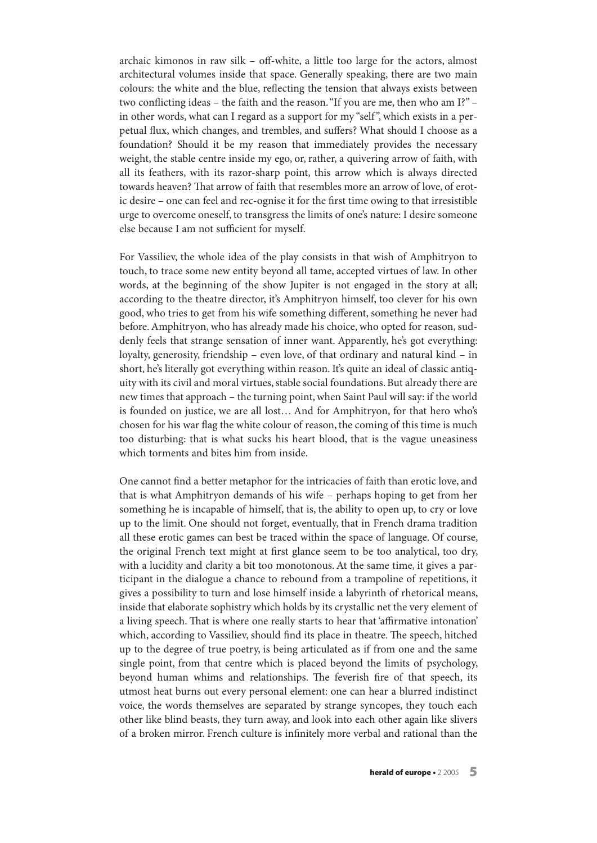archaic kimonos in raw silk – off-white, a little too large for the actors, almost architectural volumes inside that space. Generally speaking, there are two main colours: the white and the blue, reflecting the tension that always exists between two conflicting ideas – the faith and the reason."If you are me, then who am I?" – in other words, what can I regard as a support for my "self ", which exists in a perpetual flux, which changes, and trembles, and suffers? What should I choose as a foundation? Should it be my reason that immediately provides the necessary weight, the stable centre inside my ego, or, rather, a quivering arrow of faith, with all its feathers, with its razor-sharp point, this arrow which is always directed towards heaven? That arrow of faith that resembles more an arrow of love, of erotic desire – one can feel and rec-ognise it for the first time owing to that irresistible urge to overcome oneself, to transgress the limits of one's nature: I desire someone else because I am not sufficient for myself.

For Vassiliev, the whole idea of the play consists in that wish of Amphitryon to touch, to trace some new entity beyond all tame, accepted virtues of law. In other words, at the beginning of the show Jupiter is not engaged in the story at all; according to the theatre director, it's Amphitryon himself, too clever for his own good, who tries to get from his wife something different, something he never had before. Amphitryon, who has already made his choice, who opted for reason, suddenly feels that strange sensation of inner want. Apparently, he's got everything: loyalty, generosity, friendship – even love, of that ordinary and natural kind – in short, he's literally got everything within reason. It's quite an ideal of classic antiquity with its civil and moral virtues, stable social foundations. But already there are new times that approach – the turning point,when Saint Paul will say: if the world is founded on justice, we are all lost… And for Amphitryon, for that hero who's chosen for his war flag the white colour of reason, the coming of this time is much too disturbing: that is what sucks his heart blood, that is the vague uneasiness which torments and bites him from inside.

One cannot find a better metaphor for the intricacies of faith than erotic love, and that is what Amphitryon demands of his wife – perhaps hoping to get from her something he is incapable of himself, that is, the ability to open up, to cry or love up to the limit. One should not forget, eventually, that in French drama tradition all these erotic games can best be traced within the space of language. Of course, the original French text might at first glance seem to be too analytical, too dry, with a lucidity and clarity a bit too monotonous. At the same time, it gives a participant in the dialogue a chance to rebound from a trampoline of repetitions, it gives a possibility to turn and lose himself inside a labyrinth of rhetorical means, inside that elaborate sophistry which holds by its crystallic net the very element of a living speech. That is where one really starts to hear that 'affirmative intonation' which, according to Vassiliev, should find its place in theatre. The speech, hitched up to the degree of true poetry, is being articulated as if from one and the same single point, from that centre which is placed beyond the limits of psychology, beyond human whims and relationships. The feverish fire of that speech, its utmost heat burns out every personal element: one can hear a blurred indistinct voice, the words themselves are separated by strange syncopes, they touch each other like blind beasts, they turn away, and look into each other again like slivers of a broken mirror. French culture is infinitely more verbal and rational than the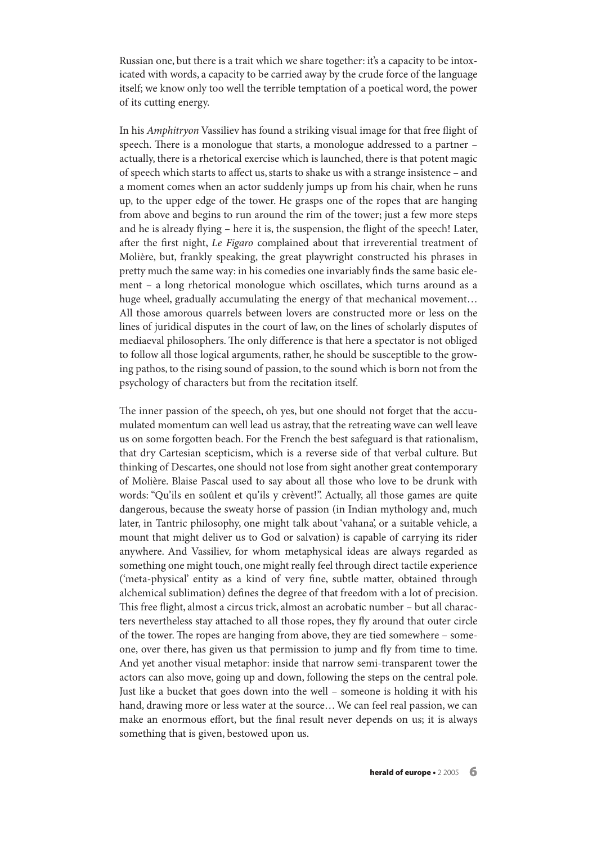Russian one, but there is a trait which we share together: it's a capacity to be intoxicated with words, a capacity to be carried away by the crude force of the language itself; we know only too well the terrible temptation of a poetical word, the power of its cutting energy.

In his Amphitryon Vassiliev has found a striking visual image for that free flight of speech. There is a monologue that starts, a monologue addressed to a partner – actually, there is a rhetorical exercise which is launched, there is that potent magic of speech which starts to affect us,starts to shake us with a strange insistence – and a moment comes when an actor suddenly jumps up from his chair, when he runs up, to the upper edge of the tower. He grasps one of the ropes that are hanging from above and begins to run around the rim of the tower; just a few more steps and he is already flying – here it is, the suspension, the flight of the speech! Later, after the first night, Le Figaro complained about that irreverential treatment of Molière, but, frankly speaking, the great playwright constructed his phrases in pretty much the same way: in his comedies one invariably finds the same basic element – a long rhetorical monologue which oscillates, which turns around as a huge wheel, gradually accumulating the energy of that mechanical movement… All those amorous quarrels between lovers are constructed more or less on the lines of juridical disputes in the court of law, on the lines of scholarly disputes of mediaeval philosophers. The only difference is that here a spectator is not obliged to follow all those logical arguments, rather, he should be susceptible to the growing pathos, to the rising sound of passion, to the sound which is born not from the psychology of characters but from the recitation itself.

The inner passion of the speech, oh yes, but one should not forget that the accumulated momentum can well lead us astray, that the retreating wave can well leave us on some forgotten beach. For the French the best safeguard is that rationalism, that dry Cartesian scepticism, which is a reverse side of that verbal culture. But thinking of Descartes, one should not lose from sight another great contemporary of Molière. Blaise Pascal used to say about all those who love to be drunk with words: "Qu'ils en soûlent et qu'ils y crèvent!". Actually, all those games are quite dangerous, because the sweaty horse of passion (in Indian mythology and, much later, in Tantric philosophy, one might talk about 'vahana', or a suitable vehicle, a mount that might deliver us to God or salvation) is capable of carrying its rider anywhere. And Vassiliev, for whom metaphysical ideas are always regarded as something one might touch, one might really feel through direct tactile experience ('meta-physical' entity as a kind of very fine, subtle matter, obtained through alchemical sublimation) defines the degree of that freedom with a lot of precision. This free flight, almost a circus trick, almost an acrobatic number – but all characters nevertheless stay attached to all those ropes, they fly around that outer circle of the tower. The ropes are hanging from above, they are tied somewhere – someone, over there, has given us that permission to jump and fly from time to time. And yet another visual metaphor: inside that narrow semi-transparent tower the actors can also move, going up and down, following the steps on the central pole. Just like a bucket that goes down into the well – someone is holding it with his hand, drawing more or less water at the source... We can feel real passion, we can make an enormous effort, but the final result never depends on us; it is always something that is given, bestowed upon us.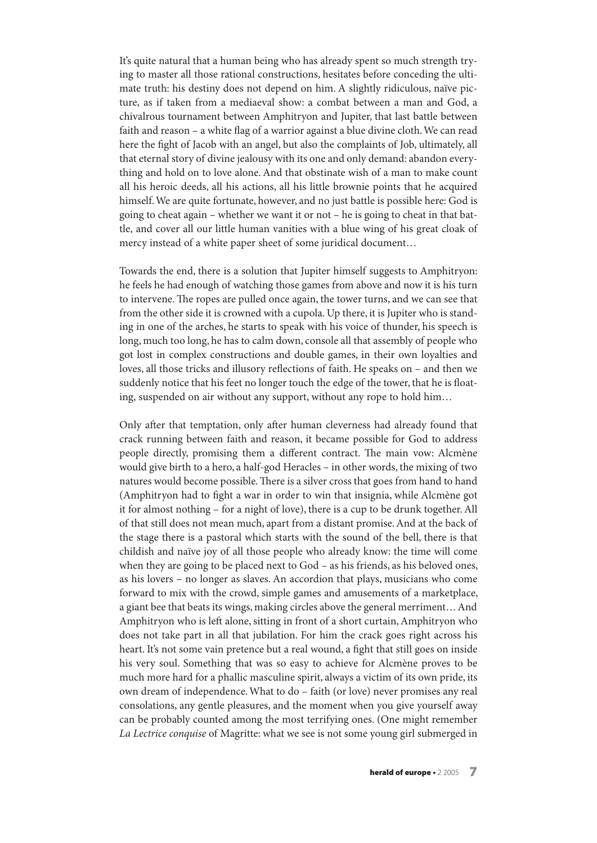It's quite natural that a human being who has already spent so much strength trying to master all those rational constructions, hesitates before conceding the ultimate truth: his destiny does not depend on him. A slightly ridiculous, naïve picture, as if taken from a mediaeval show: a combat between a man and God, a chivalrous tournament between Amphitryon and Jupiter, that last battle between faith and reason – a white flag of a warrior against a blue divine cloth.We can read here the fight of Jacob with an angel, but also the complaints of Job, ultimately, all that eternal story of divine jealousy with its one and only demand: abandon everything and hold on to love alone.And that obstinate wish of a man to make count all his heroic deeds, all his actions, all his little brownie points that he acquired himself.We are quite fortunate, however, and no just battle is possible here: God is going to cheat again – whether we want it or not – he is going to cheat in that battle, and cover all our little human vanities with a blue wing of his great cloak of mercy instead of a white paper sheet of some juridical document…

Towards the end, there is a solution that Jupiter himself suggests to Amphitryon: he feels he had enough of watching those games from above and now it is his turn to intervene. The ropes are pulled once again, the tower turns, and we can see that from the other side it is crowned with a cupola. Up there, it is Jupiter who is standing in one of the arches, he starts to speak with his voice of thunder, his speech is long, much too long, he has to calm down, console all that assembly of people who got lost in complex constructions and double games, in their own loyalties and loves, all those tricks and illusory reflections of faith. He speaks on – and then we suddenly notice that his feet no longer touch the edge of the tower, that he is floating, suspended on air without any support, without any rope to hold him…

Only after that temptation, only after human cleverness had already found that crack running between faith and reason, it became possible for God to address people directly, promising them a different contract. The main vow: Alcmène would give birth to a hero, a half-god Heracles – in other words, the mixing of two natures would become possible. There is a silver cross that goes from hand to hand (Amphitryon had to fight a war in order to win that insignia, while Alcmène got it for almost nothing – for a night of love), there is a cup to be drunk together.All of that still does not mean much, apart from a distant promise.And at the back of the stage there is a pastoral which starts with the sound of the bell, there is that childish and naïve joy of all those people who already know: the time will come when they are going to be placed next to God – as his friends, as his beloved ones, as his lovers – no longer as slaves. An accordion that plays, musicians who come forward to mix with the crowd, simple games and amusements of a marketplace, a giant bee that beats its wings, making circles above the general merriment…And Amphitryon who is left alone, sitting in front of a short curtain, Amphitryon who does not take part in all that jubilation. For him the crack goes right across his heart. It's not some vain pretence but a real wound, a fight that still goes on inside his very soul. Something that was so easy to achieve for Alcmène proves to be much more hard for a phallic masculine spirit, always a victim of its own pride, its own dream of independence.What to do – faith (or love) never promises any real consolations, any gentle pleasures, and the moment when you give yourself away can be probably counted among the most terrifying ones. (One might remember La Lectrice conquise of Magritte: what we see is not some young girl submerged in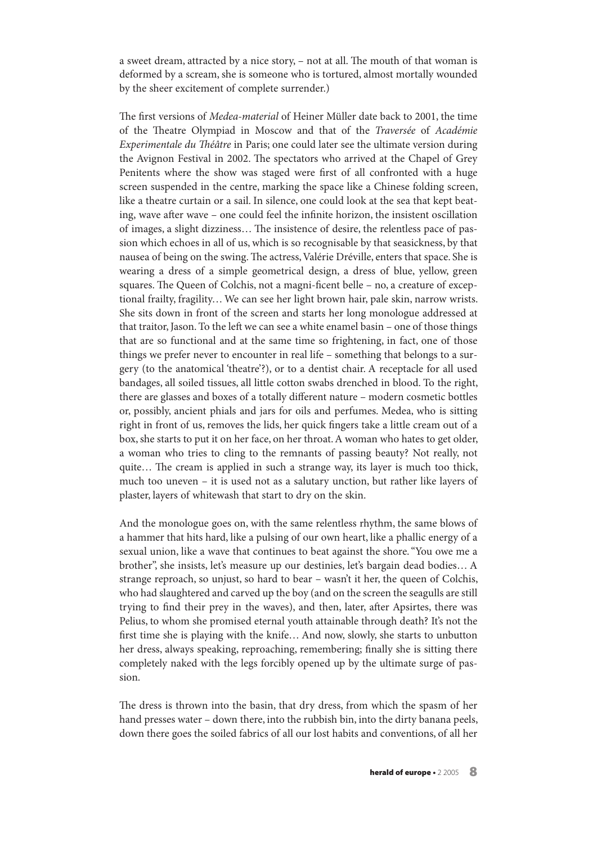a sweet dream, attracted by a nice story, - not at all. The mouth of that woman is deformed by a scream, she is someone who is tortured, almost mortally wounded by the sheer excitement of complete surrender.)

The first versions of *Medea-material* of Heiner Müller date back to 2001, the time of the Theatre Olympiad in Moscow and that of the Traversée of Académie Experimentale du Théâtre in Paris; one could later see the ultimate version during the Avignon Festival in 2002. The spectators who arrived at the Chapel of Grey Penitents where the show was staged were first of all confronted with a huge screen suspended in the centre, marking the space like a Chinese folding screen, like a theatre curtain or a sail. In silence, one could look at the sea that kept beating, wave after wave – one could feel the infinite horizon, the insistent oscillation of images, a slight dizziness... The insistence of desire, the relentless pace of passion which echoes in all of us, which is so recognisable by that seasickness, by that nausea of being on the swing. The actress, Valérie Dréville, enters that space. She is wearing a dress of a simple geometrical design, a dress of blue, yellow, green squares. The Queen of Colchis, not a magni-ficent belle - no, a creature of exceptional frailty, fragility… We can see her light brown hair, pale skin, narrow wrists. She sits down in front of the screen and starts her long monologue addressed at that traitor, Jason. To the left we can see a white enamel basin – one of those things that are so functional and at the same time so frightening, in fact, one of those things we prefer never to encounter in real life – something that belongs to a surgery (to the anatomical 'theatre'?), or to a dentist chair. A receptacle for all used bandages, all soiled tissues, all little cotton swabs drenched in blood. To the right, there are glasses and boxes of a totally different nature – modern cosmetic bottles or, possibly, ancient phials and jars for oils and perfumes. Medea, who is sitting right in front of us, removes the lids, her quick fingers take a little cream out of a box, she starts to put it on her face, on her throat. A woman who hates to get older, a woman who tries to cling to the remnants of passing beauty? Not really, not quite... The cream is applied in such a strange way, its layer is much too thick, much too uneven – it is used not as a salutary unction, but rather like layers of plaster, layers of whitewash that start to dry on the skin.

And the monologue goes on, with the same relentless rhythm, the same blows of a hammer that hits hard, like a pulsing of our own heart, like a phallic energy of a sexual union, like a wave that continues to beat against the shore."You owe me a brother", she insists, let's measure up our destinies, let's bargain dead bodies… A strange reproach, so unjust, so hard to bear – wasn't it her, the queen of Colchis, who had slaughtered and carved up the boy (and on the screen the seagulls are still trying to find their prey in the waves), and then, later, after Apsirtes, there was Pelius, to whom she promised eternal youth attainable through death? It's not the first time she is playing with the knife… And now, slowly, she starts to unbutton her dress, always speaking, reproaching, remembering; finally she is sitting there completely naked with the legs forcibly opened up by the ultimate surge of passion.

The dress is thrown into the basin, that dry dress, from which the spasm of her hand presses water – down there, into the rubbish bin, into the dirty banana peels, down there goes the soiled fabrics of all our lost habits and conventions, of all her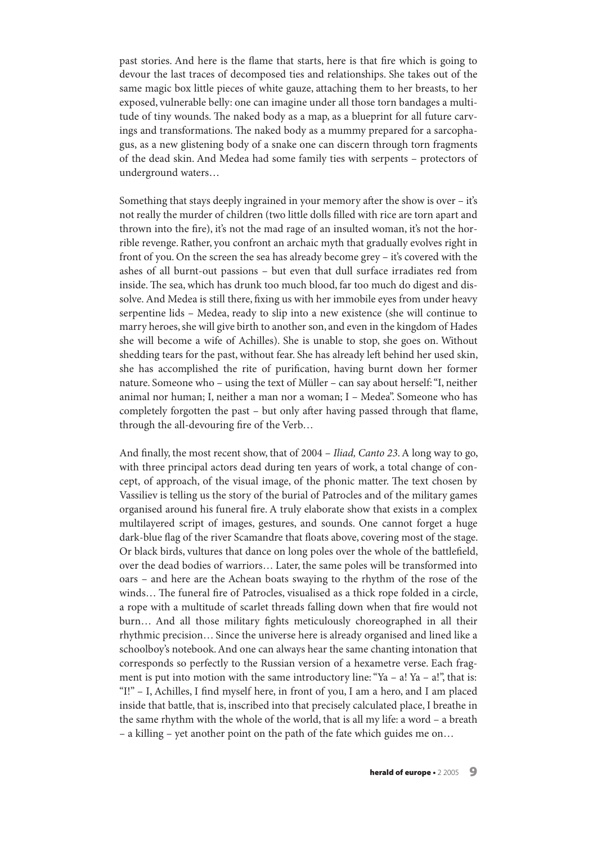past stories. And here is the flame that starts, here is that fire which is going to devour the last traces of decomposed ties and relationships. She takes out of the same magic box little pieces of white gauze, attaching them to her breasts, to her exposed, vulnerable belly: one can imagine under all those torn bandages a multitude of tiny wounds. The naked body as a map, as a blueprint for all future carvings and transformations. The naked body as a mummy prepared for a sarcophagus, as a new glistening body of a snake one can discern through torn fragments of the dead skin. And Medea had some family ties with serpents – protectors of underground waters…

Something that stays deeply ingrained in your memory after the show is over – it's not really the murder of children (two little dolls filled with rice are torn apart and thrown into the fire), it's not the mad rage of an insulted woman, it's not the horrible revenge. Rather, you confront an archaic myth that gradually evolves right in front of you. On the screen the sea has already become grey – it's covered with the ashes of all burnt-out passions – but even that dull surface irradiates red from inside. The sea, which has drunk too much blood, far too much do digest and dissolve. And Medea is still there, fixing us with her immobile eyes from under heavy serpentine lids – Medea, ready to slip into a new existence (she will continue to marry heroes, she will give birth to another son, and even in the kingdom of Hades she will become a wife of Achilles). She is unable to stop, she goes on. Without shedding tears for the past, without fear. She has already left behind her used skin, she has accomplished the rite of purification, having burnt down her former nature. Someone who – using the text of Müller – can say about herself:"I, neither animal nor human; I, neither a man nor a woman; I – Medea". Someone who has completely forgotten the past – but only after having passed through that flame, through the all-devouring fire of the Verb…

And finally, the most recent show, that of 2004 – Iliad, Canto 23.A long way to go, with three principal actors dead during ten years of work, a total change of concept, of approach, of the visual image, of the phonic matter. The text chosen by Vassiliev is telling us the story of the burial of Patrocles and of the military games organised around his funeral fire. A truly elaborate show that exists in a complex multilayered script of images, gestures, and sounds. One cannot forget a huge dark-blue flag of the river Scamandre that floats above, covering most of the stage. Or black birds, vultures that dance on long poles over the whole of the battlefield, over the dead bodies of warriors… Later, the same poles will be transformed into oars – and here are the Achean boats swaying to the rhythm of the rose of the winds... The funeral fire of Patrocles, visualised as a thick rope folded in a circle, a rope with a multitude of scarlet threads falling down when that fire would not burn… And all those military fights meticulously choreographed in all their rhythmic precision… Since the universe here is already organised and lined like a schoolboy's notebook.And one can always hear the same chanting intonation that corresponds so perfectly to the Russian version of a hexametre verse. Each fragment is put into motion with the same introductory line: "Ya – a! Ya – a!", that is: "I!" – I, Achilles, I find myself here, in front of you, I am a hero, and I am placed inside that battle, that is, inscribed into that precisely calculated place, I breathe in the same rhythm with the whole of the world, that is all my life: a word – a breath – a killing – yet another point on the path of the fate which guides me on…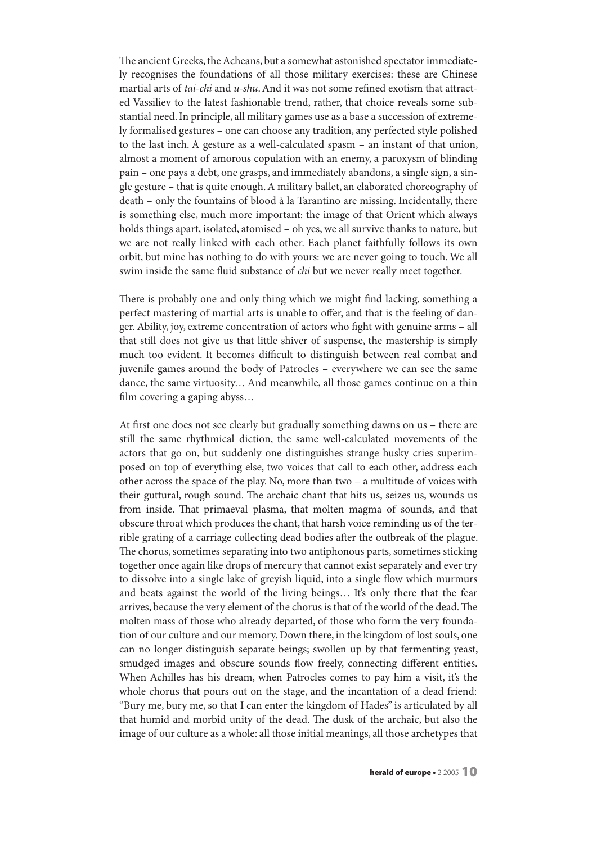The ancient Greeks, the Acheans, but a somewhat astonished spectator immediately recognises the foundations of all those military exercises: these are Chinese martial arts of *tai-chi* and  $u$ -*shu*. And it was not some refined exotism that attracted Vassiliev to the latest fashionable trend, rather, that choice reveals some substantial need.In principle, all military games use as a base a succession of extremely formalised gestures – one can choose any tradition, any perfected style polished to the last inch. A gesture as a well-calculated spasm – an instant of that union, almost a moment of amorous copulation with an enemy, a paroxysm of blinding pain – one pays a debt, one grasps, and immediately abandons, a single sign, a single gesture – that is quite enough.A military ballet, an elaborated choreography of death – only the fountains of blood à la Tarantino are missing. Incidentally, there is something else, much more important: the image of that Orient which always holds things apart, isolated, atomised – oh yes, we all survive thanks to nature, but we are not really linked with each other. Each planet faithfully follows its own orbit, but mine has nothing to do with yours: we are never going to touch. We all swim inside the same fluid substance of *chi* but we never really meet together.

There is probably one and only thing which we might find lacking, something a perfect mastering of martial arts is unable to offer, and that is the feeling of danger. Ability, joy, extreme concentration of actors who fight with genuine arms – all that still does not give us that little shiver of suspense, the mastership is simply much too evident. It becomes difficult to distinguish between real combat and juvenile games around the body of Patrocles – everywhere we can see the same dance, the same virtuosity… And meanwhile, all those games continue on a thin film covering a gaping abyss…

At first one does not see clearly but gradually something dawns on us – there are still the same rhythmical diction, the same well-calculated movements of the actors that go on, but suddenly one distinguishes strange husky cries superimposed on top of everything else, two voices that call to each other, address each other across the space of the play. No, more than two – a multitude of voices with their guttural, rough sound. The archaic chant that hits us, seizes us, wounds us from inside. That primaeval plasma, that molten magma of sounds, and that obscure throat which produces the chant, that harsh voice reminding us of the terrible grating of a carriage collecting dead bodies after the outbreak of the plague. The chorus, sometimes separating into two antiphonous parts, sometimes sticking together once again like drops of mercury that cannot exist separately and ever try to dissolve into a single lake of greyish liquid, into a single flow which murmurs and beats against the world of the living beings… It's only there that the fear arrives, because the very element of the chorus is that of the world of the dead. The molten mass of those who already departed, of those who form the very foundation of our culture and our memory. Down there, in the kingdom of lost souls, one can no longer distinguish separate beings; swollen up by that fermenting yeast, smudged images and obscure sounds flow freely, connecting different entities. When Achilles has his dream, when Patrocles comes to pay him a visit, it's the whole chorus that pours out on the stage, and the incantation of a dead friend: "Bury me, bury me, so that I can enter the kingdom of Hades" is articulated by all that humid and morbid unity of the dead. The dusk of the archaic, but also the image of our culture as a whole: all those initial meanings, all those archetypes that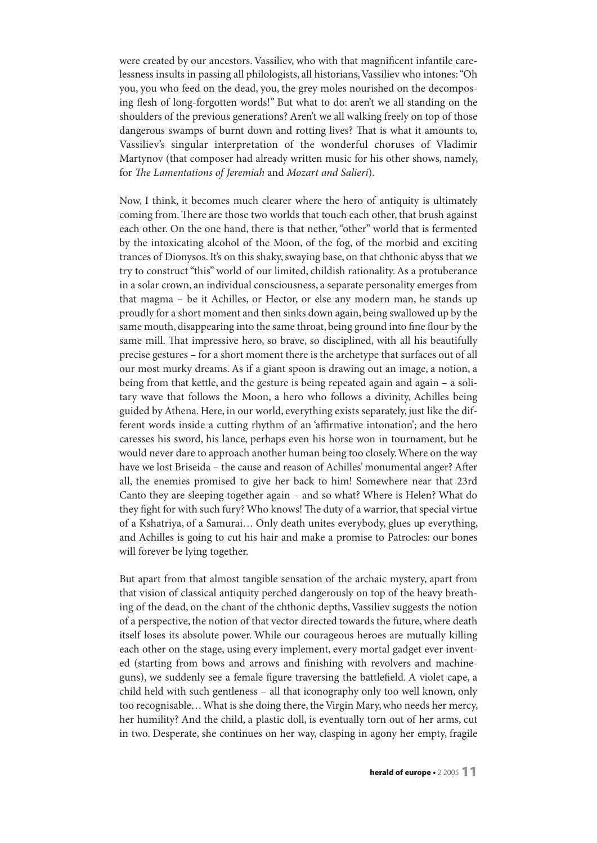were created by our ancestors. Vassiliev, who with that magnificent infantile carelessness insults in passing all philologists, all historians,Vassiliev who intones:"Oh you, you who feed on the dead, you, the grey moles nourished on the decomposing flesh of long-forgotten words!" But what to do: aren't we all standing on the shoulders of the previous generations? Aren't we all walking freely on top of those dangerous swamps of burnt down and rotting lives? That is what it amounts to, Vassiliev's singular interpretation of the wonderful choruses of Vladimir Martynov (that composer had already written music for his other shows, namely, for The Lamentations of Jeremiah and Mozart and Salieri).

Now, I think, it becomes much clearer where the hero of antiquity is ultimately coming from. There are those two worlds that touch each other, that brush against each other. On the one hand, there is that nether,"other" world that is fermented by the intoxicating alcohol of the Moon, of the fog, of the morbid and exciting trances of Dionysos.It's on this shaky,swaying base, on that chthonic abyss that we try to construct"this" world of our limited, childish rationality.As a protuberance in a solar crown, an individual consciousness, a separate personality emerges from that magma – be it Achilles, or Hector, or else any modern man, he stands up proudly for a short moment and then sinks down again, being swallowed up by the same mouth, disappearing into the same throat, being ground into fine flour by the same mill. That impressive hero, so brave, so disciplined, with all his beautifully precise gestures – for a short moment there is the archetype that surfaces out of all our most murky dreams. As if a giant spoon is drawing out an image, a notion, a being from that kettle, and the gesture is being repeated again and again – a solitary wave that follows the Moon, a hero who follows a divinity, Achilles being guided by Athena. Here, in our world, everything exists separately, just like the different words inside a cutting rhythm of an 'affirmative intonation'; and the hero caresses his sword, his lance, perhaps even his horse won in tournament, but he would never dare to approach another human being too closely.Where on the way have we lost Briseida – the cause and reason of Achilles' monumental anger? After all, the enemies promised to give her back to him! Somewhere near that 23rd Canto they are sleeping together again – and so what? Where is Helen? What do they fight for with such fury? Who knows! The duty of a warrior, that special virtue of a Kshatriya, of a Samurai… Only death unites everybody, glues up everything, and Achilles is going to cut his hair and make a promise to Patrocles: our bones will forever be lying together.

But apart from that almost tangible sensation of the archaic mystery, apart from that vision of classical antiquity perched dangerously on top of the heavy breathing of the dead, on the chant of the chthonic depths, Vassiliev suggests the notion of a perspective, the notion of that vector directed towards the future,where death itself loses its absolute power. While our courageous heroes are mutually killing each other on the stage, using every implement, every mortal gadget ever invented (starting from bows and arrows and finishing with revolvers and machineguns), we suddenly see a female figure traversing the battlefield. A violet cape, a child held with such gentleness – all that iconography only too well known, only too recognisable... What is she doing there, the Virgin Mary, who needs her mercy, her humility? And the child, a plastic doll, is eventually torn out of her arms, cut in two. Desperate, she continues on her way, clasping in agony her empty, fragile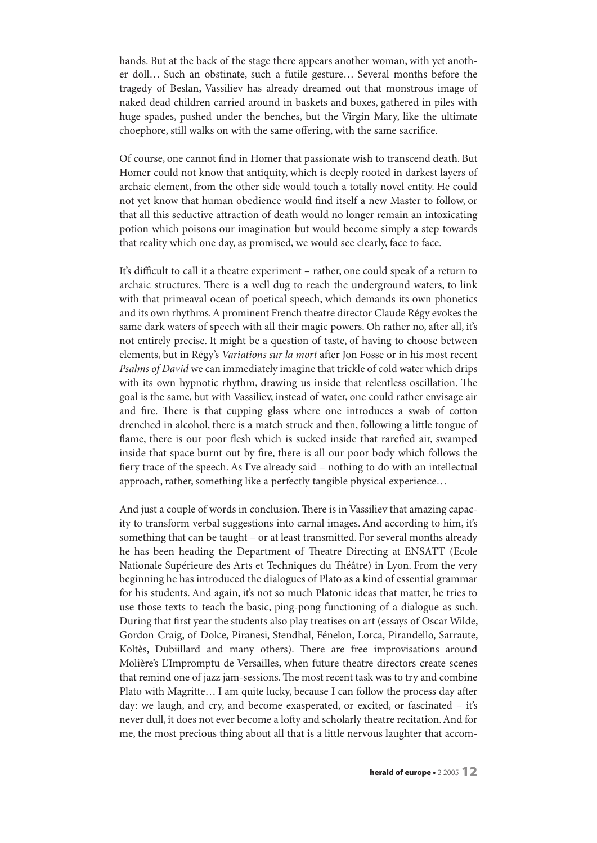hands. But at the back of the stage there appears another woman, with yet another doll… Such an obstinate, such a futile gesture… Several months before the tragedy of Beslan, Vassiliev has already dreamed out that monstrous image of naked dead children carried around in baskets and boxes, gathered in piles with huge spades, pushed under the benches, but the Virgin Mary, like the ultimate choephore, still walks on with the same offering, with the same sacrifice.

Of course, one cannot find in Homer that passionate wish to transcend death. But Homer could not know that antiquity, which is deeply rooted in darkest layers of archaic element, from the other side would touch a totally novel entity. He could not yet know that human obedience would find itself a new Master to follow, or that all this seductive attraction of death would no longer remain an intoxicating potion which poisons our imagination but would become simply a step towards that reality which one day, as promised, we would see clearly, face to face.

It's difficult to call it a theatre experiment – rather, one could speak of a return to archaic structures. There is a well dug to reach the underground waters, to link with that primeaval ocean of poetical speech, which demands its own phonetics and its own rhythms.A prominent French theatre director Claude Régy evokes the same dark waters of speech with all their magic powers. Oh rather no, after all, it's not entirely precise. It might be a question of taste, of having to choose between elements, but in Régy's Variations sur la mort after Jon Fosse or in his most recent Psalms of David we can immediately imagine that trickle of cold water which drips with its own hypnotic rhythm, drawing us inside that relentless oscillation. The goal is the same, but with Vassiliev, instead of water, one could rather envisage air and fire. There is that cupping glass where one introduces a swab of cotton drenched in alcohol, there is a match struck and then, following a little tongue of flame, there is our poor flesh which is sucked inside that rarefied air, swamped inside that space burnt out by fire, there is all our poor body which follows the fiery trace of the speech. As I've already said – nothing to do with an intellectual approach, rather, something like a perfectly tangible physical experience…

And just a couple of words in conclusion. There is in Vassiliev that amazing capacity to transform verbal suggestions into carnal images. And according to him, it's something that can be taught – or at least transmitted. For several months already he has been heading the Department of Theatre Directing at ENSATT (Ecole Nationale Supérieure des Arts et Techniques du Théâtre) in Lyon. From the very beginning he has introduced the dialogues of Plato as a kind of essential grammar for his students. And again, it's not so much Platonic ideas that matter, he tries to use those texts to teach the basic, ping-pong functioning of a dialogue as such. During that first year the students also play treatises on art (essays of Oscar Wilde, Gordon Craig, of Dolce, Piranesi, Stendhal, Fénelon, Lorca, Pirandello, Sarraute, Koltès, Dubiillard and many others). There are free improvisations around Molière's L'Impromptu de Versailles, when future theatre directors create scenes that remind one of jazz jam-sessions. The most recent task was to try and combine Plato with Magritte... I am quite lucky, because I can follow the process day after day: we laugh, and cry, and become exasperated, or excited, or fascinated – it's never dull, it does not ever become a lofty and scholarly theatre recitation. And for me, the most precious thing about all that is a little nervous laughter that accom